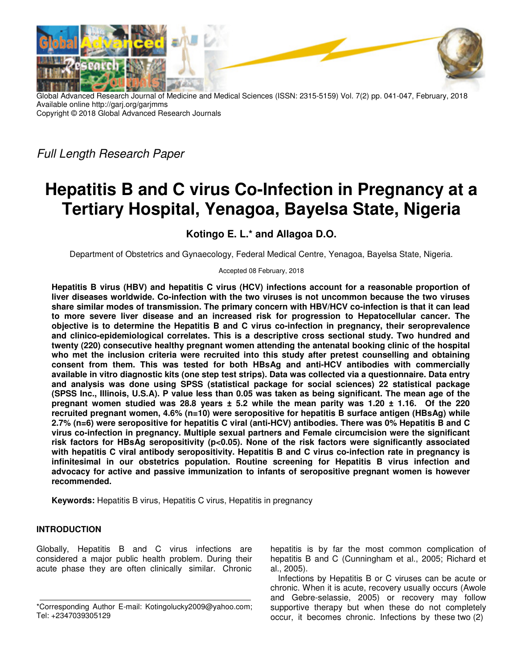

Global Advanced Research Journal of Medicine and Medical Sciences (ISSN: 2315-5159) Vol. 7(2) pp. 041-047, February, 2018 Available online http://garj.org/garjmms Copyright © 2018 Global Advanced Research Journals

Full Length Research Paper

# **Hepatitis B and C virus Co-Infection in Pregnancy at a Tertiary Hospital, Yenagoa, Bayelsa State, Nigeria**

**Kotingo E. L.\* and Allagoa D.O.** 

Department of Obstetrics and Gynaecology, Federal Medical Centre, Yenagoa, Bayelsa State, Nigeria.

Accepted 08 February, 2018

**Hepatitis B virus (HBV) and hepatitis C virus (HCV) infections account for a reasonable proportion of liver diseases worldwide. Co-infection with the two viruses is not uncommon because the two viruses share similar modes of transmission. The primary concern with HBV/HCV co-infection is that it can lead to more severe liver disease and an increased risk for progression to Hepatocellular cancer. The objective is to determine the Hepatitis B and C virus co-infection in pregnancy, their seroprevalence and clinico-epidemiological correlates. This is a descriptive cross sectional study. Two hundred and twenty (220) consecutive healthy pregnant women attending the antenatal booking clinic of the hospital who met the inclusion criteria were recruited into this study after pretest counselling and obtaining consent from them. This was tested for both HBsAg and anti-HCV antibodies with commercially available in vitro diagnostic kits (one step test strips). Data was collected via a questionnaire. Data entry and analysis was done using SPSS (statistical package for social sciences) 22 statistical package (SPSS Inc., Illinois, U.S.A). P value less than 0.05 was taken as being significant. The mean age of the pregnant women studied was 28.8 years ± 5.2 while the mean parity was 1.20 ± 1.16. Of the 220 recruited pregnant women, 4.6% (n=10) were seropositive for hepatitis B surface antigen (HBsAg) while 2.7% (n=6) were seropositive for hepatitis C viral (anti-HCV) antibodies. There was 0% Hepatitis B and C virus co-infection in pregnancy. Multiple sexual partners and Female circumcision were the significant risk factors for HBsAg seropositivity (p<0.05). None of the risk factors were significantly associated with hepatitis C viral antibody seropositivity. Hepatitis B and C virus co-infection rate in pregnancy is infinitesimal in our obstetrics population. Routine screening for Hepatitis B virus infection and advocacy for active and passive immunization to infants of seropositive pregnant women is however recommended.** 

**Keywords:** Hepatitis B virus, Hepatitis C virus, Hepatitis in pregnancy

# **INTRODUCTION**

Globally, Hepatitis B and C virus infections are considered a major public health problem. During their acute phase they are often clinically similar. Chronic hepatitis is by far the most common complication of hepatitis B and C (Cunningham et al., 2005; Richard et al., 2005).

Infections by Hepatitis B or C viruses can be acute or chronic. When it is acute, recovery usually occurs (Awole and Gebre-selassie, 2005) or recovery may follow supportive therapy but when these do not completely occur, it becomes chronic. Infections by these two (2)

<sup>\*</sup>Corresponding Author E-mail: Kotingolucky2009@yahoo.com; Tel: +2347039305129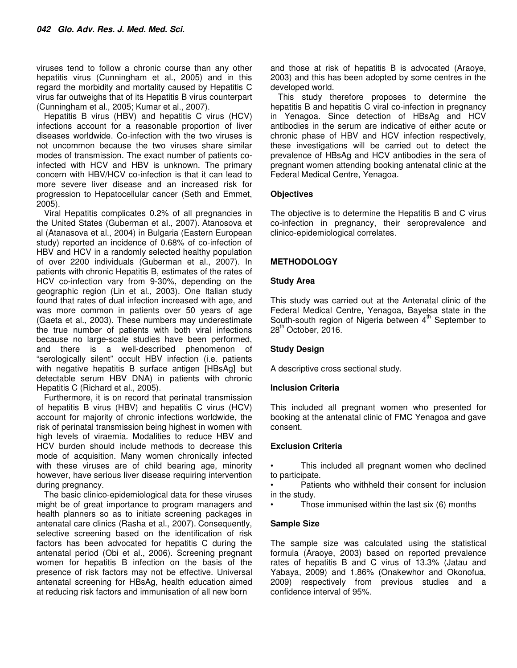viruses tend to follow a chronic course than any other hepatitis virus (Cunningham et al., 2005) and in this regard the morbidity and mortality caused by Hepatitis C virus far outweighs that of its Hepatitis B virus counterpart (Cunningham et al., 2005; Kumar et al., 2007).

Hepatitis B virus (HBV) and hepatitis C virus (HCV) infections account for a reasonable proportion of liver diseases worldwide. Co-infection with the two viruses is not uncommon because the two viruses share similar modes of transmission. The exact number of patients coinfected with HCV and HBV is unknown. The primary concern with HBV/HCV co-infection is that it can lead to more severe liver disease and an increased risk for progression to Hepatocellular cancer (Seth and Emmet, 2005).

Viral Hepatitis complicates 0.2% of all pregnancies in the United States (Guberman et al., 2007). Atanosova et al (Atanasova et al., 2004) in Bulgaria (Eastern European study) reported an incidence of 0.68% of co-infection of HBV and HCV in a randomly selected healthy population of over 2200 individuals (Guberman et al., 2007). In patients with chronic Hepatitis B, estimates of the rates of HCV co-infection vary from 9-30%, depending on the geographic region (Lin et al., 2003). One Italian study found that rates of dual infection increased with age, and was more common in patients over 50 years of age (Gaeta et al., 2003). These numbers may underestimate the true number of patients with both viral infections because no large-scale studies have been performed, and there is a well-described phenomenon of "serologically silent" occult HBV infection (i.e. patients with negative hepatitis B surface antigen [HBsAg] but detectable serum HBV DNA) in patients with chronic Hepatitis C (Richard et al., 2005).

Furthermore, it is on record that perinatal transmission of hepatitis B virus (HBV) and hepatitis C virus (HCV) account for majority of chronic infections worldwide, the risk of perinatal transmission being highest in women with high levels of viraemia. Modalities to reduce HBV and HCV burden should include methods to decrease this mode of acquisition. Many women chronically infected with these viruses are of child bearing age, minority however, have serious liver disease requiring intervention during pregnancy.

The basic clinico-epidemiological data for these viruses might be of great importance to program managers and health planners so as to initiate screening packages in antenatal care clinics (Rasha et al., 2007). Consequently, selective screening based on the identification of risk factors has been advocated for hepatitis C during the antenatal period (Obi et al., 2006). Screening pregnant women for hepatitis B infection on the basis of the presence of risk factors may not be effective. Universal antenatal screening for HBsAg, health education aimed at reducing risk factors and immunisation of all new born

and those at risk of hepatitis B is advocated (Araoye, 2003) and this has been adopted by some centres in the developed world.

This study therefore proposes to determine the hepatitis B and hepatitis C viral co-infection in pregnancy in Yenagoa. Since detection of HBsAg and HCV antibodies in the serum are indicative of either acute or chronic phase of HBV and HCV infection respectively, these investigations will be carried out to detect the prevalence of HBsAg and HCV antibodies in the sera of pregnant women attending booking antenatal clinic at the Federal Medical Centre, Yenagoa.

#### **Objectives**

The objective is to determine the Hepatitis B and C virus co-infection in pregnancy, their seroprevalence and clinico-epidemiological correlates.

# **METHODOLOGY**

#### **Study Area**

This study was carried out at the Antenatal clinic of the Federal Medical Centre, Yenagoa, Bayelsa state in the South-south region of Nigeria between 4<sup>th</sup> September to  $28<sup>th</sup>$  October, 2016.

#### **Study Design**

A descriptive cross sectional study.

#### **Inclusion Criteria**

This included all pregnant women who presented for booking at the antenatal clinic of FMC Yenagoa and gave consent.

#### **Exclusion Criteria**

This included all pregnant women who declined to participate.

Patients who withheld their consent for inclusion in the study.

• Those immunised within the last six (6) months

#### **Sample Size**

The sample size was calculated using the statistical formula (Araoye, 2003) based on reported prevalence rates of hepatitis B and C virus of 13.3% (Jatau and Yabaya, 2009) and 1.86% (Onakewhor and Okonofua, 2009) respectively from previous studies and a confidence interval of 95%.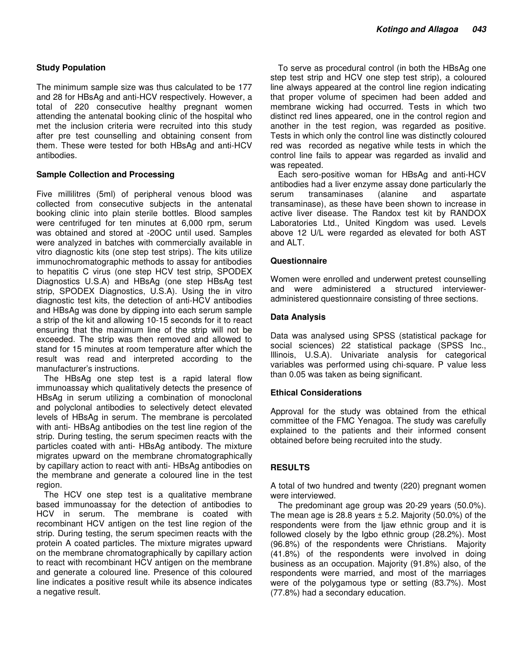## **Study Population**

The minimum sample size was thus calculated to be 177 and 28 for HBsAg and anti-HCV respectively. However, a total of 220 consecutive healthy pregnant women attending the antenatal booking clinic of the hospital who met the inclusion criteria were recruited into this study after pre test counselling and obtaining consent from them. These were tested for both HBsAg and anti-HCV antibodies.

## **Sample Collection and Processing**

Five millilitres (5ml) of peripheral venous blood was collected from consecutive subjects in the antenatal booking clinic into plain sterile bottles. Blood samples were centrifuged for ten minutes at 6,000 rpm, serum was obtained and stored at -20OC until used. Samples were analyzed in batches with commercially available in vitro diagnostic kits (one step test strips). The kits utilize immunochromatographic methods to assay for antibodies to hepatitis C virus (one step HCV test strip, SPODEX Diagnostics U.S.A) and HBsAg (one step HBsAg test strip, SPODEX Diagnostics, U.S.A). Using the in vitro diagnostic test kits, the detection of anti-HCV antibodies and HBsAg was done by dipping into each serum sample a strip of the kit and allowing 10-15 seconds for it to react ensuring that the maximum line of the strip will not be exceeded. The strip was then removed and allowed to stand for 15 minutes at room temperature after which the result was read and interpreted according to the manufacturer's instructions.

The HBsAg one step test is a rapid lateral flow immunoassay which qualitatively detects the presence of HBsAg in serum utilizing a combination of monoclonal and polyclonal antibodies to selectively detect elevated levels of HBsAg in serum. The membrane is percolated with anti- HBsAg antibodies on the test line region of the strip. During testing, the serum specimen reacts with the particles coated with anti- HBsAg antibody. The mixture migrates upward on the membrane chromatographically by capillary action to react with anti- HBsAg antibodies on the membrane and generate a coloured line in the test region.

The HCV one step test is a qualitative membrane based immunoassay for the detection of antibodies to HCV in serum. The membrane is coated with recombinant HCV antigen on the test line region of the strip. During testing, the serum specimen reacts with the protein A coated particles. The mixture migrates upward on the membrane chromatographically by capillary action to react with recombinant HCV antigen on the membrane and generate a coloured line. Presence of this coloured line indicates a positive result while its absence indicates a negative result.

To serve as procedural control (in both the HBsAg one step test strip and HCV one step test strip), a coloured line always appeared at the control line region indicating that proper volume of specimen had been added and membrane wicking had occurred. Tests in which two distinct red lines appeared, one in the control region and another in the test region, was regarded as positive. Tests in which only the control line was distinctly coloured red was recorded as negative while tests in which the control line fails to appear was regarded as invalid and was repeated.

Each sero-positive woman for HBsAg and anti-HCV antibodies had a liver enzyme assay done particularly the serum transaminases (alanine and aspartate transaminase), as these have been shown to increase in active liver disease. The Randox test kit by RANDOX Laboratories Ltd., United Kingdom was used. Levels above 12 U/L were regarded as elevated for both AST and ALT.

## **Questionnaire**

Women were enrolled and underwent pretest counselling and were administered a structured intervieweradministered questionnaire consisting of three sections.

## **Data Analysis**

Data was analysed using SPSS (statistical package for social sciences) 22 statistical package (SPSS Inc., Illinois, U.S.A). Univariate analysis for categorical variables was performed using chi-square. P value less than 0.05 was taken as being significant.

# **Ethical Considerations**

Approval for the study was obtained from the ethical committee of the FMC Yenagoa. The study was carefully explained to the patients and their informed consent obtained before being recruited into the study.

# **RESULTS**

A total of two hundred and twenty (220) pregnant women were interviewed.

The predominant age group was 20-29 years (50.0%). The mean age is 28.8 years  $\pm$  5.2. Majority (50.0%) of the respondents were from the Ijaw ethnic group and it is followed closely by the Igbo ethnic group (28.2%). Most (96.8%) of the respondents were Christians. Majority (41.8%) of the respondents were involved in doing business as an occupation. Majority (91.8%) also, of the respondents were married, and most of the marriages were of the polygamous type or setting (83.7%). Most (77.8%) had a secondary education.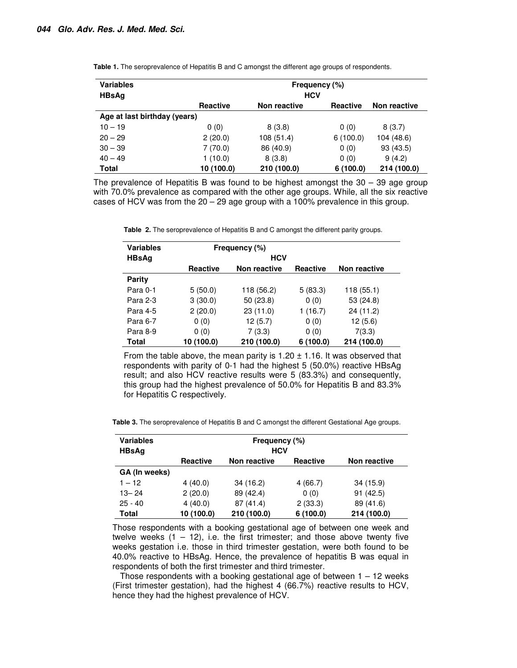| <b>Variables</b><br><b>HBsAg</b> | Frequency (%)<br><b>HCV</b> |              |                 |              |
|----------------------------------|-----------------------------|--------------|-----------------|--------------|
|                                  | <b>Reactive</b>             | Non reactive | <b>Reactive</b> | Non reactive |
| Age at last birthday (years)     |                             |              |                 |              |
| $10 - 19$                        | 0(0)                        | 8(3.8)       | 0(0)            | 8(3.7)       |
| $20 - 29$                        | 2(20.0)                     | 108(51.4)    | 6(100.0)        | 104 (48.6)   |
| $30 - 39$                        | 7(70.0)                     | 86 (40.9)    | 0(0)            | 93(43.5)     |
| $40 - 49$                        | 1(10.0)                     | 8(3.8)       | 0(0)            | 9(4.2)       |
| <b>Total</b>                     | 10 (100.0)                  | 210 (100.0)  | 6(100.0)        | 214 (100.0)  |

**Table 1.** The seroprevalence of Hepatitis B and C amongst the different age groups of respondents.

The prevalence of Hepatitis B was found to be highest amongst the  $30 - 39$  age group with 70.0% prevalence as compared with the other age groups. While, all the six reactive cases of HCV was from the  $20 - 29$  age group with a 100% prevalence in this group.

| <b>Variables</b> | Frequency (%)   |              |                 |              |  |
|------------------|-----------------|--------------|-----------------|--------------|--|
| <b>HBsAg</b>     |                 | <b>HCV</b>   |                 |              |  |
|                  | <b>Reactive</b> | Non reactive | <b>Reactive</b> | Non reactive |  |
| <b>Parity</b>    |                 |              |                 |              |  |
| Para 0-1         | 5(50.0)         | 118 (56.2)   | 5(83.3)         | 118 (55.1)   |  |
| Para 2-3         | 3(30.0)         | 50 (23.8)    | 0(0)            | 53 (24.8)    |  |
| Para 4-5         | 2(20.0)         | 23 (11.0)    | 1(16.7)         | 24 (11.2)    |  |
| Para 6-7         | 0(0)            | 12 (5.7)     | 0(0)            | 12(5.6)      |  |
| Para 8-9         | 0(0)            | 7(3.3)       | 0(0)            | 7(3.3)       |  |
| Total            | 10 (100.0)      | 210 (100.0)  | 6(100.0)        | 214 (100.0)  |  |

**Table 2.** The seroprevalence of Hepatitis B and C amongst the different parity groups.

From the table above, the mean parity is  $1.20 \pm 1.16$ . It was observed that respondents with parity of 0-1 had the highest 5 (50.0%) reactive HBsAg result; and also HCV reactive results were 5 (83.3%) and consequently, this group had the highest prevalence of 50.0% for Hepatitis B and 83.3% for Hepatitis C respectively.

**Table 3.** The seroprevalence of Hepatitis B and C amongst the different Gestational Age groups.

| <b>Variables</b><br><b>HBsAg</b> | Frequency (%)<br><b>HCV</b> |              |          |              |
|----------------------------------|-----------------------------|--------------|----------|--------------|
|                                  | <b>Reactive</b>             | Non reactive | Reactive | Non reactive |
| GA (In weeks)                    |                             |              |          |              |
| $1 - 12$                         | 4(40.0)                     | 34(16.2)     | 4(66.7)  | 34(15.9)     |
| $13 - 24$                        | 2(20.0)                     | 89 (42.4)    | 0(0)     | 91(42.5)     |
| $25 - 40$                        | 4(40.0)                     | 87(41.4)     | 2(33.3)  | 89 (41.6)    |
| Total                            | 10 (100.0)                  | 210 (100.0)  | 6(100.0) | 214 (100.0)  |

Those respondents with a booking gestational age of between one week and twelve weeks  $(1 - 12)$ , i.e. the first trimester; and those above twenty five weeks gestation i.e. those in third trimester gestation, were both found to be 40.0% reactive to HBsAg. Hence, the prevalence of hepatitis B was equal in respondents of both the first trimester and third trimester.

Those respondents with a booking gestational age of between  $1 - 12$  weeks (First trimester gestation), had the highest 4 (66.7%) reactive results to HCV, hence they had the highest prevalence of HCV.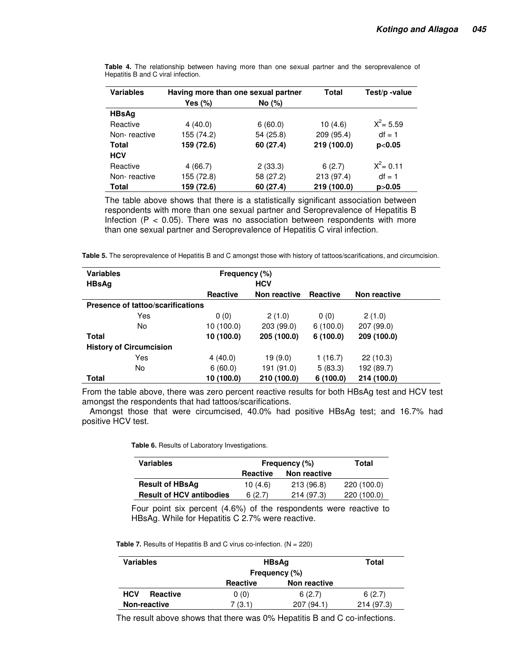| <b>Variables</b> | Having more than one sexual partner |           | <b>Total</b> | Test/p-value |
|------------------|-------------------------------------|-----------|--------------|--------------|
|                  | Yes $(\%)$                          | No (%)    |              |              |
| <b>HBsAg</b>     |                                     |           |              |              |
| Reactive         | 4(40.0)                             | 6(60.0)   | 10(4.6)      | $X^2 = 5.59$ |
| Non-reactive     | 155 (74.2)                          | 54 (25.8) | 209 (95.4)   | $df = 1$     |
| Total            | 159 (72.6)                          | 60 (27.4) | 219 (100.0)  | p<0.05       |
| <b>HCV</b>       |                                     |           |              |              |
| Reactive         | 4(66.7)                             | 2(33.3)   | 6(2.7)       | $X^2 = 0.11$ |
| Non-reactive     | 155 (72.8)                          | 58 (27.2) | 213 (97.4)   | $df = 1$     |
| <b>Total</b>     | 159 (72.6)                          | 60 (27.4) | 219 (100.0)  | p > 0.05     |

**Table 4.** The relationship between having more than one sexual partner and the seroprevalence of Hepatitis B and C viral infection.

The table above shows that there is a statistically significant association between respondents with more than one sexual partner and Seroprevalence of Hepatitis B Infection  $(P < 0.05)$ . There was no association between respondents with more than one sexual partner and Seroprevalence of Hepatitis C viral infection.

**Table 5.** The seroprevalence of Hepatitis B and C amongst those with history of tattoos/scarifications, and circumcision.

| <b>Variables</b>                  | Frequency (%)   |              |                 |              |  |
|-----------------------------------|-----------------|--------------|-----------------|--------------|--|
| <b>HBsAg</b>                      |                 | <b>HCV</b>   |                 |              |  |
|                                   | <b>Reactive</b> | Non reactive | <b>Reactive</b> | Non reactive |  |
| Presence of tattoo/scarifications |                 |              |                 |              |  |
| Yes                               | 0(0)            | 2(1.0)       | 0(0)            | 2(1.0)       |  |
| No                                | 10(100.0)       | 203 (99.0)   | 6(100.0)        | 207 (99.0)   |  |
| <b>Total</b>                      | 10 (100.0)      | 205 (100.0)  | 6(100.0)        | 209 (100.0)  |  |
| <b>History of Circumcision</b>    |                 |              |                 |              |  |
| Yes                               | 4(40.0)         | 19(9.0)      | 1 (16.7)        | 22(10.3)     |  |
| No.                               | 6(60.0)         | 191 (91.0)   | 5(83.3)         | 192 (89.7)   |  |
| <b>Total</b>                      | 10(100.0)       | 210 (100.0)  | 6(100.0)        | 214 (100.0)  |  |

From the table above, there was zero percent reactive results for both HBsAg test and HCV test amongst the respondents that had tattoos/scarifications.

Amongst those that were circumcised, 40.0% had positive HBsAg test; and 16.7% had positive HCV test.

**Table 6.** Results of Laboratory Investigations.

| <b>Variables</b>                | Frequency (%) |              | Total       |
|---------------------------------|---------------|--------------|-------------|
|                                 | Reactive      | Non reactive |             |
| <b>Result of HBsAg</b>          | 10(4.6)       | 213 (96.8)   | 220 (100.0) |
| <b>Result of HCV antibodies</b> | 6(2.7)        | 214 (97.3)   | 220 (100.0) |

Four point six percent (4.6%) of the respondents were reactive to HBsAg. While for Hepatitis C 2.7% were reactive.

**Table 7.** Results of Hepatitis B and C virus co-infection. (N = 220)

| <b>Variables</b>              | <b>HBsAg</b><br>Frequency (%) |               | Total      |
|-------------------------------|-------------------------------|---------------|------------|
|                               | <b>Reactive</b>               | Non reactive  |            |
| <b>HCV</b><br><b>Reactive</b> | 0(0)                          | 6(2.7)        | 6(2.7)     |
| Non-reactive                  | (3.1)                         | (94.1)<br>207 | 214 (97.3) |

The result above shows that there was 0% Hepatitis B and C co-infections.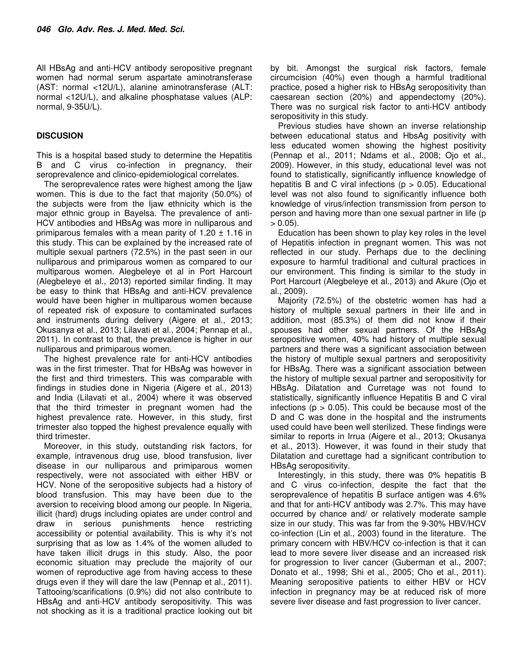All HBsAg and anti-HCV antibody seropositive pregnant women had normal serum aspartate aminotransferase (AST: normal <12U/L), alanine aminotransferase (ALT: normal <12U/L), and alkaline phosphatase values (ALP: normal, 9-35U/L).

# **DISCUSION**

This is a hospital based study to determine the Hepatitis B and C virus co-infection in pregnancy, their seroprevalence and clinico-epidemiological correlates.

The seroprevalence rates were highest among the Ijaw women. This is due to the fact that majority (50.0%) of the subjects were from the Ijaw ethnicity which is the major ethnic group in Bayelsa. The prevalence of anti-HCV antibodies and HBsAg was more in nulliparous and primiparous females with a mean parity of  $1.20 \pm 1.16$  in this study. This can be explained by the increased rate of multiple sexual partners (72.5%) in the past seen in our nulliparous and primiparous women as compared to our multiparous women. Alegbeleye et al in Port Harcourt (Alegbeleye et al., 2013) reported similar finding. It may be easy to think that HBsAg and anti-HCV prevalence would have been higher in multiparous women because of repeated risk of exposure to contaminated surfaces and instruments during delivery (Aigere et al., 2013; Okusanya et al., 2013; Lilavati et al., 2004; Pennap et al., 2011). In contrast to that, the prevalence is higher in our nulliparous and primiparous women.

The highest prevalence rate for anti-HCV antibodies was in the first trimester. That for HBsAg was however in the first and third trimesters. This was comparable with findings in studies done in Nigeria (Aigere et al., 2013) and India (Lilavati et al., 2004) where it was observed that the third trimester in pregnant women had the highest prevalence rate. However, in this study, first trimester also topped the highest prevalence equally with third trimester.

Moreover, in this study, outstanding risk factors, for example, intravenous drug use, blood transfusion, liver disease in our nulliparous and primiparous women respectively, were not associated with either HBV or HCV. None of the seropositive subjects had a history of blood transfusion. This may have been due to the aversion to receiving blood among our people. In Nigeria, illicit (hard) drugs including opiates are under control and draw in serious punishments hence restricting accessibility or potential availability. This is why it's not surprising that as low as 1.4% of the women alluded to have taken illicit drugs in this study. Also, the poor economic situation may preclude the majority of our women of reproductive age from having access to these drugs even if they will dare the law (Pennap et al., 2011). Tattooing/scarifications (0.9%) did not also contribute to HBsAg and anti-HCV antibody seropositivity. This was not shocking as it is a traditional practice looking out bit by bit. Amongst the surgical risk factors, female circumcision (40%) even though a harmful traditional practice, posed a higher risk to HBsAg seropositivity than caesarean section (20%) and appendectomy (20%). There was no surgical risk factor to anti-HCV antibody seropositivity in this study.

Previous studies have shown an inverse relationship between educational status and HbsAg positivity with less educated women showing the highest positivity (Pennap et al., 2011; Ndams et al., 2008; Ojo et al., 2009). However, in this study, educational level was not found to statistically, significantly influence knowledge of hepatitis B and C viral infections ( $p > 0.05$ ). Educational level was not also found to significantly influence both knowledge of virus/infection transmission from person to person and having more than one sexual partner in life (p  $> 0.05$ ).

Education has been shown to play key roles in the level of Hepatitis infection in pregnant women. This was not reflected in our study. Perhaps due to the declining exposure to harmful traditional and cultural practices in our environment. This finding is similar to the study in Port Harcourt (Alegbeleye et al., 2013) and Akure (Ojo et al., 2009).

Majority (72.5%) of the obstetric women has had a history of multiple sexual partners in their life and in addition, most (85.3%) of them did not know if their spouses had other sexual partners. Of the HBsAg seropositive women, 40% had history of multiple sexual partners and there was a significant association between the history of multiple sexual partners and seropositivity for HBsAg. There was a significant association between the history of multiple sexual partner and seropositivity for HBsAg. Dilatation and Curretage was not found to statistically, significantly influence Hepatitis B and C viral infections ( $p > 0.05$ ). This could be because most of the D and C was done in the hospital and the instruments used could have been well sterilized. These findings were similar to reports in Irrua (Aigere et al., 2013; Okusanya et al., 2013). However, it was found in their study that Dilatation and curettage had a significant contribution to HBsAg seropositivity.

Interestingly, in this study, there was 0% hepatitis B and C virus co-infection, despite the fact that the seroprevalence of hepatitis B surface antigen was 4.6% and that for anti-HCV antibody was 2.7%. This may have occurred by chance and/ or relatively moderate sample size in our study. This was far from the 9-30% HBV/HCV co-infection (Lin et al., 2003) found in the literature. The primary concern with HBV/HCV co-infection is that it can lead to more severe liver disease and an increased risk for progression to liver cancer (Guberman et al., 2007; Donato et al., 1998; Shi et al., 2005; Cho et al., 2011). Meaning seropositive patients to either HBV or HCV infection in pregnancy may be at reduced risk of more severe liver disease and fast progression to liver cancer.